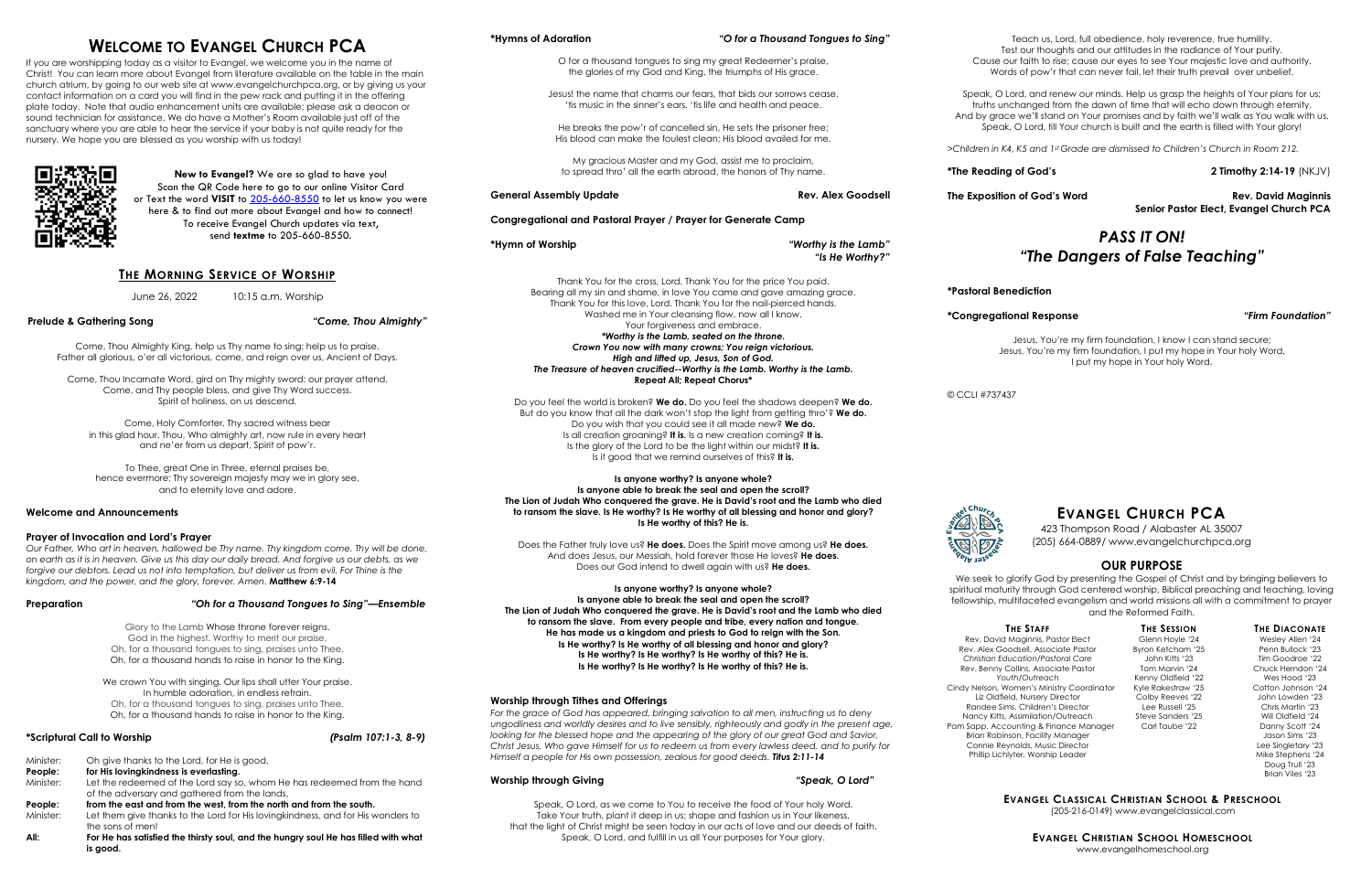# EVANGEL CHURCH PCA

423 Thompson Road / Alabaster AL 35007 (205) 664-0889/ www.evangelchurchpca.org

## OUR PURPOSE

glorify God by presenting the Gospel of Christ and by bringing believers to vrity through God centered worship, Biblical preaching and teaching, loving  $\mu$ ultifaceted evangelism and world missions all with a commitment to prayer and the Reformed Faith.

**THE STAFF THE SESSION THE DIACONATE**<br>I Maginnis, Pastor Elect **The State of Clenn Hoyle '24** The State Wesley Allen '24 rem. David Maginnis, Pastor Elect <mark>Glenn Hoyle '24</mark><br>David Maginnis, Associate Pastor Byron Ketcham '25 Rev. Alex Goodsell, Associate Pastor Byron Ketcham '25 Penn Bullock '23 the Sucation/Pastoral Care The Subhn Kitts '23 Tim Goodroe '22<br>Collins, Associate Pastor Tom Marvin '24 Chuck Herndon '24 Rev. Benny Collins, Associate Pastor Tom Marvin '24 Chuck Herndon '24 Vomen's Ministry Coordinator Liz Oldfield, Nursery Director Colby Reeves '22 John Lowden '23 Randee Sims, Children's Director Lee Russell '25 Chris Martin '23 Nancy Kitts, Assimilation/Outreach Steve Sanders '25 Will Oldfield '24 Pam Sapp, Accounting & Finance Manager Brian Robinson, Facility Manager and Society of the Sims '23 Jason Sims '23<br>Connie Reynolds, Music Director and Social State of the Singletary '23 Connie Reynolds, Music Director Lee Singletary '23 Phillip Lichlyter, Worship Leader

Youtheld '22 Wes Hood '23<br>
Youthelm Rakestraw '25 Cotton Johnson '24

Doug Trull '23 Brian Viles '23

New to Evangel? We are so alad to have you! Scan the QR Code here to go to our online Visitor Card or Text the word VISIT to 205-660-8550 to let us know you were here & to find out more about Evangel and how to connect! To receive Evangel Church updates via text, send textme to 205-660-8550.

# WELCOME TO EVANGEL CHURCH PCA

Our Father, Who art in heaven, hallowed be Thy name. Thy kingdom come. Thy will be done, on earth as it is in heaven. Give us this day our daily bread. And forgive us our debts, as we forgive our debtors. Lead us not into temptation, but deliver us from evil. For Thine is the kingdom, and the power, and the glory, forever. Amen. **Matthew 6:9-14** 

If you are worshipping today as a visitor to Evangel, we welcome you in the name of Christ! You can learn more about Evangel from literature available on the table in the main church atrium, by going to our web site at www.evangelchurchpca.org, or by giving us your contact information on a card you will find in the pew rack and putting it in the offering plate today. Note that audio enhancement units are available; please ask a deacon or sound technician for assistance. We do have a Mother's Room available just off of the sanctuary where you are able to hear the service if your baby is not quite ready for the nursery. We hope you are blessed as you worship with us today!



We crown You with singing. Our lips shall utter Your praise. In humble adoration, in endless refrain. Oh, for a thousand tongues to sing, praises unto Thee. Oh, for a thousand hands to raise in honor to the King.

## THE MORNING SERVICE OF WORSHIP

June 26, 2022 10:15 a.m. Worship

Prelude & Gathering Song The Come, Thou Almighty"

Come, Thou Almighty King, help us Thy name to sing; help us to praise. Father all glorious, o'er all victorious, come, and reign over us, Ancient of Days.

Come, Thou Incarnate Word, gird on Thy mighty sword; our prayer attend. Come, and Thy people bless, and give Thy Word success. Spirit of holiness, on us descend.

Come, Holy Comforter, Thy sacred witness bear in this glad hour. Thou, Who almighty art, now rule in every heart and ne'er from us depart, Spirit of pow'r.

To Thee, great One in Three, eternal praises be, hence evermore; Thy sovereign majesty may we in glory see, and to eternity love and adore.

## Welcome and Announcements

## Prayer of Invocation and Lord's Prayer

## Preparation "Oh for a Thousand Tongues to Sing"—Ensemble

For the grace of God has appeared, bringing salvation to all men, instructing us to deny ungodliness and worldly desires and to live sensibly, righteously and godly in the present age, looking for the blessed hope and the appearing of the glory of our great God and Savior, Christ Jesus, Who gave Himself for us to redeem us from every lawless deed, and to purify for Himself a people for His own possession, zealous for good deeds. Titus 2:11-14

## Worship through Giving The Contract of the Speak, O Lord"

Glory to the Lamb Whose throne forever reigns. God in the highest. Worthy to merit our praise. Oh, for a thousand tongues to sing, praises unto Thee. Oh, for a thousand hands to raise in honor to the King.

## \*Scriptural Call to Worship (Psalm 107:1-3, 8-9)

## Minister: Oh give thanks to the Lord, for He is good,

People: for His loving kindness is everlasting.

Teach us, Lord, full obedience, holy reverence, true humility. Test our thoughts and our attitudes in the radiance of Your purity. our faith to rise; cause our eyes to see Your majestic love and authority. ds of pow'r that can never fail, let their truth prevail over unbelief.

ord, and renew our minds. Help us grasp the heights of Your plans for us; ichanged from the dawn of time that will echo down through eternity. te we'll stand on Your promises and by faith we'll walk as You walk with us. O Lord, till Your church is built and the earth is filled with Your glory!

4. K5 and 1st Grade are dismissed to Children's Church in Room 212.

## g of God's  $2$  Timothy 2:14-19 (NKJV)

Minister: Let the redeemed of the Lord say so, whom He has redeemed from the hand of the adversary and gathered from the lands,

People: from the east and from the west, from the north and from the south.

Minister: Let them give thanks to the Lord for His lovingkindness, and for His wonders to the sons of men!

All: For He has satisfied the thirsty soul, and the hungry soul He has filled with what is good.

In of God's Word **Rev. David Maginnis** Senior Pastor Elect, Evangel Church PCA

\*Hymns of Adoration "O for a Thousand Tongues to Sing"

|                                                               |                                                                                                                                              | 16                          |
|---------------------------------------------------------------|----------------------------------------------------------------------------------------------------------------------------------------------|-----------------------------|
|                                                               | O for a thousand tongues to sing my great Redeemer's praise,                                                                                 | Cause o                     |
|                                                               | the glories of my God and King, the triumphs of His grace.                                                                                   | Wor                         |
|                                                               |                                                                                                                                              | Speak, OL                   |
|                                                               | Jesus! the name that charms our fears, that bids our sorrows cease,<br>'tis music in the sinner's ears, 'tis life and health and peace.      | truths un                   |
|                                                               |                                                                                                                                              | And by grac                 |
|                                                               | He breaks the pow'r of cancelled sin, He sets the prisoner free;                                                                             | Speak                       |
|                                                               | His blood can make the foulest clean; His blood availed for me.                                                                              |                             |
|                                                               |                                                                                                                                              | >Children in K4             |
|                                                               | My gracious Master and my God, assist me to proclaim,                                                                                        |                             |
|                                                               | to spread thro' all the earth abroad, the honors of Thy name.                                                                                | *The Reading                |
|                                                               |                                                                                                                                              |                             |
| <b>General Assembly Update</b>                                | <b>Rev. Alex Goodsell</b>                                                                                                                    | <b>The Expositio</b>        |
|                                                               |                                                                                                                                              |                             |
| Congregational and Pastoral Prayer / Prayer for Generate Camp |                                                                                                                                              |                             |
| *Hymn of Worship                                              | "Worthy is the Lamb"                                                                                                                         |                             |
|                                                               | "Is He Worthy?"                                                                                                                              |                             |
|                                                               |                                                                                                                                              |                             |
|                                                               | Thank You for the cross, Lord. Thank You for the price You paid.                                                                             |                             |
|                                                               | Bearing all my sin and shame, in love You came and gave amazing grace.                                                                       | <i><b>*Pastoral Ber</b></i> |
|                                                               | Thank You for this love, Lord. Thank You for the nail-pierced hands.                                                                         |                             |
|                                                               | Washed me in Your cleansing flow, now all I know,                                                                                            | <i>*Congregation</i>        |
|                                                               | Your forgiveness and embrace.                                                                                                                |                             |
|                                                               | *Worthy is the Lamb, seated on the throne.                                                                                                   |                             |
|                                                               | Crown You now with many crowns; You reign victorious.                                                                                        | Je                          |
|                                                               | High and lifted up, Jesus, Son of God.                                                                                                       |                             |
|                                                               | The Treasure of heaven crucified--Worthy is the Lamb. Worthy is the Lamb.                                                                    |                             |
|                                                               | <b>Repeat All; Repeat Chorus*</b>                                                                                                            |                             |
|                                                               | Do you feel the world is broken? We do. Do you feel the shadows deepen? We do.                                                               | © CCLI #73743               |
|                                                               | But do you know that all the dark won't stop the light from getting thro'? We do.                                                            |                             |
|                                                               | Do you wish that you could see it all made new? We do.                                                                                       |                             |
|                                                               | Is all creation groaning? It is. Is a new creation coming? It is.                                                                            |                             |
|                                                               | Is the glory of the Lord to be the light within our midst? It is.                                                                            |                             |
|                                                               | Is it good that we remind ourselves of this? It is.                                                                                          |                             |
|                                                               |                                                                                                                                              |                             |
|                                                               | Is anyone worthy? Is anyone whole?                                                                                                           |                             |
|                                                               | Is anyone able to break the seal and open the scroll?<br>The Lion of Judah Who conquered the grave. He is David's root and the Lamb who died |                             |
|                                                               | to ransom the slave. Is He worthy? Is He worthy of all blessing and honor and glory?                                                         |                             |
|                                                               | Is He worthy of this? He is.                                                                                                                 |                             |
|                                                               |                                                                                                                                              |                             |
|                                                               | Does the Father truly love us? He does. Does the Spirit move among us? He does.                                                              |                             |
|                                                               | And does Jesus, our Messiah, hold forever those He loves? <b>He does.</b>                                                                    | DELP 19158                  |
|                                                               | Does our God intend to dwell again with us? He does.                                                                                         |                             |
|                                                               |                                                                                                                                              | We seek to g                |
|                                                               | Is anyone worthy? Is anyone whole?                                                                                                           | spiritual matur             |
|                                                               | Is anyone able to break the seal and open the scroll?                                                                                        | fellowship, mu              |
|                                                               | The Lion of Judah Who conquered the grave. He is David's root and the Lamb who died                                                          |                             |
|                                                               | to ransom the slave. From every people and tribe, every nation and tongue.                                                                   |                             |
|                                                               | He has made us a kingdom and priests to God to reign with the Son.                                                                           | Rev. David                  |
|                                                               | Is He worthy? Is He worthy of all blessing and honor and glory?                                                                              | Rev. Alex Go                |
|                                                               | Is He worthy? Is He worthy? Is He worthy of this? He is.<br>Is He worthy? Is He worthy? Is He worthy of this? He is.                         | Christian Edu               |
|                                                               |                                                                                                                                              | Rev. Benny C                |
|                                                               |                                                                                                                                              | You<br>Cindy Nelson, W      |
|                                                               |                                                                                                                                              |                             |

## Worship through Tithes and Offerings

Speak, O Lord, as we come to You to receive the food of Your holy Word. Take Your truth, plant it deep in us; shape and fashion us in Your likeness, that the light of Christ might be seen today in our acts of love and our deeds of faith. Speak, O Lord, and fulfill in us all Your purposes for Your glory.

EVANGEL CLASSICAL CHRISTIAN SCHOOL & PRESCHOOL (205-216-0149) www.evangelclassical.com

EVANGEL CHRISTIAN SCHOOL HOMESCHOOL

www.evangelhomeschool.org

# PASS IT ON! "The Dangers of False Teaching"

## **nediction**

## \*Congregational Response "Firm Foundation"

Jesus, You're my firm foundation, I know I can stand secure; esus, You're my firm foundation, I put my hope in Your holy Word, I put my hope in Your holy Word.

 $37$